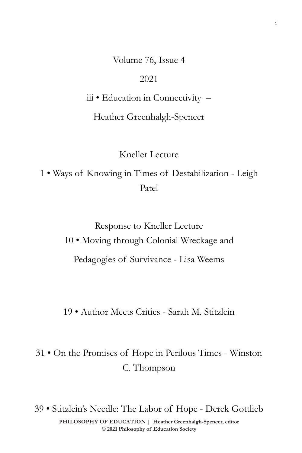Volume 76, Issue 4

## 2021

iii • Education in Connectivity –

Heather Greenhalgh-Spencer

Kneller Lecture

1 • Ways of Knowing in Times of Destabilization - Leigh Patel

> Response to Kneller Lecture 10 • Moving through Colonial Wreckage and Pedagogies of Survivance - Lisa Weems

> 19 • Author Meets Critics - Sarah M. Stitzlein

31 • On the Promises of Hope in Perilous Times - Winston C. Thompson

 $\odot$  2021 Philosophy of Education Society **PHILOSOPHY OF EDUCATION | Heather Greenhalgh-Spencer, editor**  39 • Stitzlein's Needle: The Labor of Hope - Derek Gottlieb